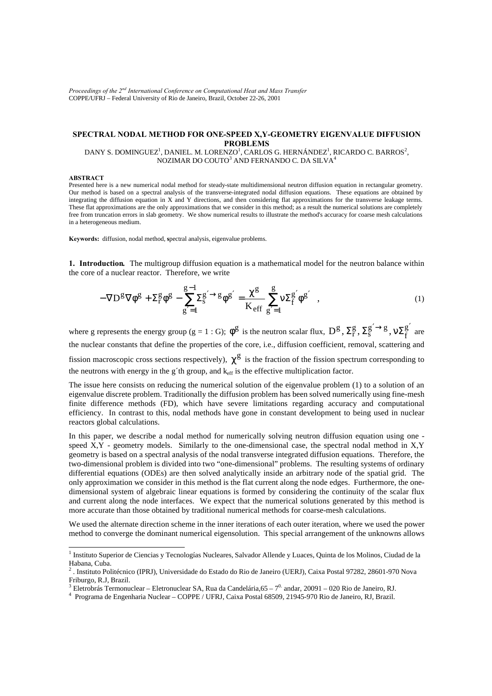*Proceedings of the 2nd International Conference on Computational Heat and Mass Transfer* COPPE/UFRJ – Federal University of Rio de Janeiro, Brazil, October 22-26, 2001

# **SPECTRAL NODAL METHOD FOR ONE-SPEED X,Y-GEOMETRY EIGENVALUE DIFFUSION PROBLEMS**

## DANY S. DOMINGUEZ<sup>1</sup>, DANIEL. M. LORENZO<sup>1</sup>, CARLOS G. HERNÁNDEZ<sup>1</sup>, RICARDO C. BARROS<sup>2</sup>, NOZIMAR DO COUTO $^3$  AND FERNANDO C. DA SILVA $^4$

# **ABSTRACT**

Presented here is a new numerical nodal method for steady-state multidimensional neutron diffusion equation in rectangular geometry. Our method is based on a spectral analysis of the transverse-integrated nodal diffusion equations. These equations are obtained by integrating the diffusion equation in X and Y directions, and then considering flat approximations for the transverse leakage terms. These flat approximations are the only approximations that we consider in this method; as a result the numerical solutions are completely free from truncation errors in slab geometry. We show numerical results to illustrate the method's accuracy for coarse mesh calculations in a heterogeneous medium.

**Keywords:** diffusion, nodal method, **s**pectral analysis, eigenvalue problems.

**1. Introduction***.* The multigroup diffusion equation is a mathematical model for the neutron balance within the core of a nuclear reactor. Therefore, we write

$$
-\nabla \mathbf{D}^{\mathbf{g}} \nabla \phi^{\mathbf{g}} + \Sigma_{\mathbf{r}}^{\mathbf{g}} \phi^{\mathbf{g}} - \sum_{g'=1}^{g-1} \Sigma_{\mathbf{s}}^{g'} \gamma^{\mathbf{g}} \phi^{\mathbf{g}'} = \frac{\chi^{\mathbf{g}}}{K_{\text{eff}}} \sum_{g'=1}^{g} \nu \Sigma_{\mathbf{f}}^{g'} \phi^{\mathbf{g}'} , \qquad (1)
$$

where g represents the energy group (g = 1 : G);  $\phi^g$  is the neutron scalar flux,  $D^g$ ,  $\Sigma^g_s$ ,  $\Sigma^g_s \rightarrow g$ ,  $v \Sigma^g_f$  $g' \rightarrow g$  $\tilde{s}$ g  $D^g, \Sigma^g_r, \Sigma^{g' \rightarrow g}_s, \nu \Sigma^{g'}_f$  are the nuclear constants that define the properties of the core, i.e., diffusion coefficient, removal, scattering and fission macroscopic cross sections respectively),  $\chi^g$  is the fraction of the fission spectrum corresponding to the neutrons with energy in the g'th group, and  $k_{eff}$  is the effective multiplication factor.

The issue here consists on reducing the numerical solution of the eigenvalue problem (1) to a solution of an eigenvalue discrete problem. Traditionally the diffusion problem has been solved numerically using fine-mesh finite difference methods (FD), which have severe limitations regarding accuracy and computational efficiency. In contrast to this, nodal methods have gone in constant development to being used in nuclear reactors global calculations.

In this paper, we describe a nodal method for numerically solving neutron diffusion equation using one speed X,Y - geometry models. Similarly to the one-dimensional case, the spectral nodal method in X,Y geometry is based on a spectral analysis of the nodal transverse integrated diffusion equations. Therefore, the two-dimensional problem is divided into two "one-dimensional" problems. The resulting systems of ordinary differential equations (ODEs) are then solved analytically inside an arbitrary node of the spatial grid. The only approximation we consider in this method is the flat current along the node edges. Furthermore, the onedimensional system of algebraic linear equations is formed by considering the continuity of the scalar flux and current along the node interfaces. We expect that the numerical solutions generated by this method is more accurate than those obtained by traditional numerical methods for coarse-mesh calculations.

We used the alternate direction scheme in the inner iterations of each outer iteration, where we used the power method to converge the dominant numerical eigensolution. This special arrangement of the unknowns allows

 1 Instituto Superior de Ciencias y Tecnologías Nucleares, Salvador Allende y Luaces, Quinta de los Molinos, Ciudad de la Habana, Cuba. 2 . Instituto Politécnico (IPRJ), Universidade do Estado do Rio de Janeiro (UERJ), Caixa Postal 97282, 28601-970 Nova

Friburgo, R.J, Brazil.

 $^3$  Eletrobrás Termonuclear – Eletronuclear SA, Rua da Candelária,65 –  $7^0$  andar, 20091 – 020 Rio de Janeiro, RJ.

<sup>4</sup> Programa de Engenharia Nuclear – COPPE / UFRJ, Caixa Postal 68509, 21945-970 Rio de Janeiro, RJ, Brazil.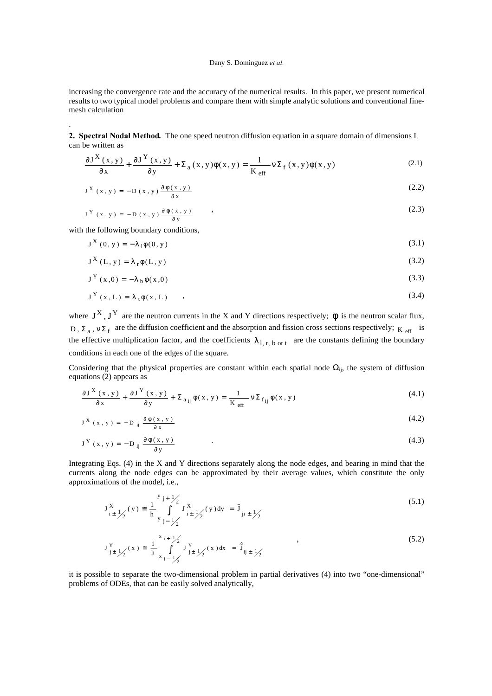increasing the convergence rate and the accuracy of the numerical results. In this paper, we present numerical results to two typical model problems and compare them with simple analytic solutions and conventional finemesh calculation

**2. Spectral Nodal Method***.* The one speed neutron diffusion equation in a square domain of dimensions L can be written as

$$
\frac{\partial J^{X}(x,y)}{\partial x} + \frac{\partial J^{Y}(x,y)}{\partial y} + \Sigma_{a}(x,y)\phi(x,y) = \frac{1}{K_{\text{eff}}} \nu \Sigma_{f}(x,y)\phi(x,y)
$$
\n(2.1)

$$
J^X(x, y) = -D(x, y) \frac{\partial \phi(x, y)}{\partial x}
$$
 (2.2)

$$
J^{Y}(x, y) = -D(x, y) \frac{\partial \phi(x, y)}{\partial y}
$$
 (2.3)

with the following boundary conditions,

.

$$
J^{X}(0, y) = -\lambda_{1}\phi(0, y) \tag{3.1}
$$

$$
J^X(L, y) = \lambda_r \phi(L, y) \tag{3.2}
$$

$$
J^{Y}(x,0) = -\lambda_{b}\phi(x,0) \tag{3.3}
$$

$$
J^{Y}(x, L) = \lambda_{t} \phi(x, L) \qquad , \qquad (3.4)
$$

where  $J^X$ ,  $J^Y$  are the neutron currents in the X and Y directions respectively;  $\phi$  is the neutron scalar flux, D,  $\Sigma_a$ ,  $v \Sigma_f$  are the diffusion coefficient and the absorption and fission cross sections respectively;  $K_{\text{eff}}$  is the effective multiplication factor, and the coefficients  $\lambda_{1, r, b \text{ or } t}$  are the constants defining the boundary conditions in each one of the edges of the square.

Considering that the physical properties are constant within each spatial node  $\Omega_{ij}$ , the system of diffusion equations (2) appears as

$$
\frac{\partial J^{X}(x,y)}{\partial x} + \frac{\partial J^{Y}(x,y)}{\partial y} + \Sigma_{a_{ij}} \phi(x,y) = \frac{1}{K_{eff}} \nu \Sigma_{f_{ij}} \phi(x,y)
$$
\n(4.1)

$$
J^X(x, y) = -D_{ij} \frac{\partial \phi(x, y)}{\partial x}
$$
 (4.2)

$$
J^{Y}(x, y) = -D_{ij} \frac{\partial \phi(x, y)}{\partial y}
$$
 (4.3)

Integrating Eqs. (4) in the X and Y directions separately along the node edges, and bearing in mind that the currents along the node edges can be approximated by their average values, which constitute the only approximations of the model, i.e.,

$$
J_{i\pm}^{X} y_{2}(y) \approx \frac{1}{h} \int_{y_{j-1}}^{y_{j+1}} J_{i\pm}^{X} y_{2}(y) dy = \tilde{J}_{ji\pm} y_{2}
$$
\n(5.1)

$$
J_{j\pm}^{Y} \frac{1}{\sqrt{2}}(x) \approx \frac{1}{h} \int_{x_{j-1}-\frac{1}{2}}^{x_{j+1}-\frac{1}{2}} J_{j\pm}^{Y} \frac{1}{\sqrt{2}}(x) dx = \hat{J}_{ij\pm} \frac{1}{\sqrt{2}} \tag{5.2}
$$

it is possible to separate the two-dimensional problem in partial derivatives (4) into two "one-dimensional" problems of ODEs, that can be easily solved analytically,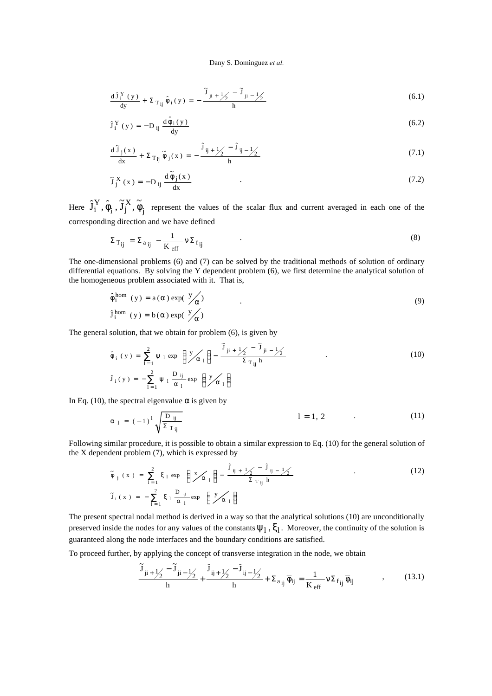$$
\frac{d\hat{J}_{i}^{Y}(y)}{dy} + \Sigma_{T_{ij}} \hat{\phi}_{i}(y) = -\frac{\tilde{J}_{ji+1/2} - \tilde{J}_{ji-1/2}}{h}
$$
 (6.1)

$$
\hat{\mathbf{J}}_i^Y(y) = -D_{ij} \frac{d\hat{\phi}_i(y)}{dy}
$$
 (6.2)

$$
\frac{d\tilde{J}_j(x)}{dx} + \Sigma_{\text{Tij}}\tilde{\phi}_j(x) = -\frac{\hat{J}_{ij} + \frac{1}{2} - \hat{J}_{ij} - \frac{1}{2}}{h} \tag{7.1}
$$

$$
\tilde{J}_j^X(x) = -D_{ij} \frac{d \tilde{\phi}_j(x)}{dx}
$$
 (7.2)

Here  $\hat{\mathbf{J}}_{\text{i}}^{\text{Y}}, \hat{\phi}_{\text{i}}^{\text{}}$  ,  $\widetilde{\mathbf{J}}_{\text{j}}^{\text{X}}, \widetilde{\phi}_{\text{j}}^{\text{}}$  $_i$ ,  $J_j$ Y i  $\hat{J}_i^Y$ ,  $\hat{\phi}_i$ ,  $\tilde{J}_i^X$ ,  $\tilde{\phi}_i$  represent the values of the scalar flux and current averaged in each one of the corresponding direction and we have defined

$$
\Sigma_{\text{Tij}} = \Sigma_{\text{a}_{ij}} - \frac{1}{K_{\text{eff}}} v \Sigma_{\text{f}_{ij}} \tag{8}
$$

The one-dimensional problems (6) and (7) can be solved by the traditional methods of solution of ordinary differential equations. By solving the Y dependent problem (6), we first determine the analytical solution of the homogeneous problem associated with it. That is,

$$
\hat{\phi}_i^{hom} (y) = a(\alpha) \exp(\frac{y}{\alpha})
$$
\n(9)\n
$$
\hat{J}_i^{hom} (y) = b(\alpha) \exp(\frac{y}{\alpha})
$$

The general solution, that we obtain for problem (6), is given by

$$
\hat{\phi}_{i}(y) = \sum_{l=1}^{2} \psi_{l} \exp\left(\frac{y}{\alpha_{l}}\right) - \frac{\tilde{J}_{ji+1/2} - \tilde{J}_{ji-1/2}}{\Sigma_{T_{ij} h}}
$$
\n(10)\n
$$
\hat{J}_{i}(y) = -\sum_{l=1}^{2} \psi_{l} \frac{D_{ij}}{\alpha_{l}} \exp\left(\frac{y}{\alpha_{l}}\right)
$$

In Eq. (10), the spectral eigenvalue  $\alpha$  is given by

$$
\alpha_{1} = (-1)^{1} \sqrt{\frac{D_{ij}}{\Sigma_{Tij}}} \qquad \qquad l = 1, 2 \qquad (11)
$$

Following similar procedure, it is possible to obtain a similar expression to Eq. (10) for the general solution of the X dependent problem (7), which is expressed by

$$
\tilde{\phi}_{j}(x) = \sum_{l=1}^{2} \xi_{l} \exp\left(\frac{x}{\alpha_{l}}\right) - \frac{\hat{j}_{ij+1/2} - \hat{j}_{ij-1/2}}{\Sigma_{T_{ij} h}}
$$
\n(12)\n
$$
\tilde{J}_{i}(x) = -\sum_{l=1}^{2} \xi_{l} \frac{D_{ij}}{\alpha_{l}} \exp\left(\frac{y}{\alpha_{l}}\right)
$$

The present spectral nodal method is derived in a way so that the analytical solutions (10) are unconditionally preserved inside the nodes for any values of the constants  $\psi_1$ ,  $\xi_1$ . Moreover, the continuity of the solution is guaranteed along the node interfaces and the boundary conditions are satisfied.

To proceed further, by applying the concept of transverse integration in the node, we obtain

$$
\frac{\widetilde{J}_{ji+}\underline{1}_{2} - \widetilde{J}_{ji-}\underline{1}_{2}}{h} + \frac{\widehat{J}_{ij+}\underline{1}_{2} - \widehat{J}_{ij-}\underline{1}_{2}}{h} + \Sigma_{a_{ij}}\overline{\phi}_{ij} = \frac{1}{K_{eff}}\nu\Sigma_{f_{ij}}\overline{\phi}_{ij} \tag{13.1}
$$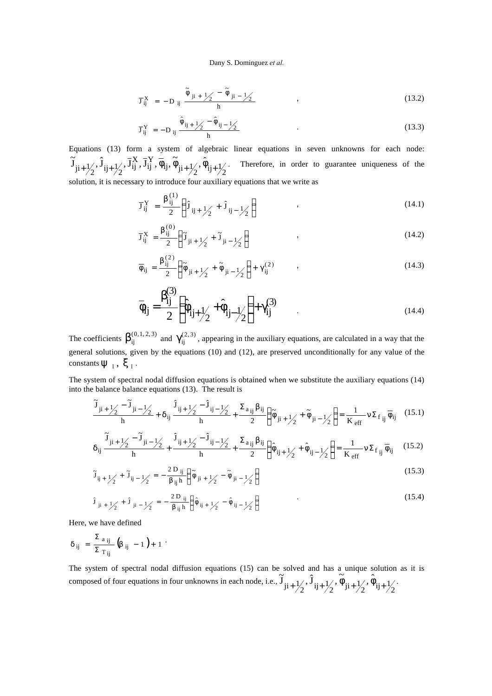$$
\overline{J}_{ij}^X = -D_{ij} \frac{\tilde{\phi}_{ji+1/2} - \tilde{\phi}_{ji-1/2}}{h} , \qquad (13.2)
$$

$$
\overline{J}_{ij}^Y = -D_{ij} \frac{\hat{\phi}_{ij+1/2} - \hat{\phi}_{ij-1/2}}{h}
$$
 (13.3)

Equations (13) form a system of algebraic linear equations in seven unknowns for each node: ij,  $\varphi_{j_1 + \frac{1}{2}}$ ,  $\varphi_{i_1 + \frac{1}{2}}$ Y ij X  $\widetilde{J}_{ji+\frac{1}{2}}, \hat{J}_{ij+\frac{1}{2}}, \overline{J}_{ij}^X, \overline{J}_{ij}^Y, \overline{\phi}_{ij}, \widetilde{\phi}_{ji+\frac{1}{2}}, \widetilde{\phi}_{ij}$  $+ \frac{1}{2}$ ,  $\hat{J}_{ij} + \frac{1}{2}$ ,  $\bar{J}_{ij}^X$ ,  $\bar{J}_{ij}^Y$ ,  $\hat{\phi}_{ij} + \frac{1}{2}$ ,  $\hat{\phi}_{ij} + \frac{1}{2}$ . Therefore, in order to guarantee uniqueness of the solution, it is necessary to introduce four auxiliary equations that we write as

$$
\overline{J}_{ij}^Y = \frac{\beta_{ij}^{(1)}}{2} \left( \hat{J}_{ij + \frac{1}{2}} + \hat{J}_{ij - \frac{1}{2}} \right) \tag{14.1}
$$

$$
\overline{J}_{ij}^X = \frac{\beta_{ij}^{(0)}}{2} \left( \tilde{J}_{ji + \frac{1}{2}} + \tilde{J}_{ji - \frac{1}{2}} \right) \tag{14.2}
$$

$$
\overline{\phi}_{ij} = \frac{\beta_{ij}^{(2)}}{2} \left( \tilde{\phi}_{ji + 1/2} + \tilde{\phi}_{ji - 1/2} \right) + \gamma_{ij}^{(2)} \qquad , \qquad (14.3)
$$

$$
\bar{\phi}_{ij} = \frac{\beta_{ij}^{(3)}}{2} \left( \hat{\phi}_{ij + \frac{1}{2}} + \hat{\phi}_{ij - \frac{1}{2}} \right) + \gamma_{ij}^{(3)}
$$
\n(14.4)

The coefficients  $\beta_{ij}^{(0,1,2,3)}$  and  $\gamma_{ij}^{(2,3)}$ , appearing in the auxiliary equations, are calculated in a way that the general solutions, given by the equations (10) and (12), are preserved unconditionally for any value of the constants  $\psi_1, \xi_1$ .

The system of spectral nodal diffusion equations is obtained when we substitute the auxiliary equations (14) into the balance balance equations (13). The result is

$$
\frac{\tilde{J}_{ji+}\underline{J}_2 - \tilde{J}_{ji-}\underline{J}_2}{h} + \delta_{ij}\frac{\hat{J}_{ij+}\underline{J}_2 - \hat{J}_{ij-}\underline{J}_2}{h} + \frac{\Sigma_{a_{ij}}\beta_{ij}}{2} \left(\tilde{\phi}_{ji+}\underline{J}_2 + \tilde{\phi}_{ji-}\underline{J}_2\right) = \frac{1}{K_{eff}}\nu\Sigma_{f_{ij}}\overline{\phi}_{ij}
$$
(15.1)

$$
\delta_{ij} \frac{\widetilde{J}_{ji+\frac{1}{2}}-\widetilde{J}_{ji-\frac{1}{2}}}{h}+\frac{\hat{J}_{ij+\frac{1}{2}}-\hat{J}_{ij-\frac{1}{2}}}{h}+\frac{\Sigma_{a_{ij}}\beta_{ij}}{2}\bigg(\hat{\phi}_{ij+\frac{1}{2}}+\hat{\phi}_{ij-\frac{1}{2}}\bigg)=\frac{1}{K_{eff}}\nu\Sigma_{f\ ij}\,\overline{\phi}_{ij}\qquad(15.2)
$$

$$
\tilde{J}_{ij+1/2} + \tilde{J}_{ij-1/2} = -\frac{2 D_{ij}}{\beta_{ij} h} \left( \tilde{\phi}_{ji+1/2} - \tilde{\phi}_{ji-1/2} \right)
$$
\n(15.3)

$$
\hat{\mathbf{J}}_{ji+1/2} + \hat{\mathbf{J}}_{ji-1/2} = -\frac{2 \mathbf{D}_{ij}}{\beta_{ij} \mathbf{h}} \left( \hat{\phi}_{ij+1/2} - \hat{\phi}_{ij-1/2} \right)
$$
 (15.4)

Here, we have defined

$$
\delta_{ij}\,\,=\,\,\frac{\Sigma_{\,\,\,a\,\,ij}}{\Sigma_{\,\,\,T\,\,ij}}\,\big(\!\beta_{\,\,\,ij}\,\,-\,\,1\,\,\big)+\,\,1\,\,\,^{\displaystyle\cdot}\,\,
$$

The system of spectral nodal diffusion equations (15) can be solved and has a unique solution as it is composed of four equations in four unknowns in each node, i.e.,  $\tilde{J}_{ji+\frac{1}{2}}, \tilde{J}_{ij+\frac{1}{2}}, \tilde{\phi}_{ji+\frac{1}{2}}, \tilde{\phi}_{ij+\frac{1}{2}}$  $+\frac{1}{2}, \hat{J}_{ij+}\frac{1}{2}, \hat{\phi}_{ji+}\frac{1}{2}, \hat{\phi}_{ij+}\frac{1}{2}.$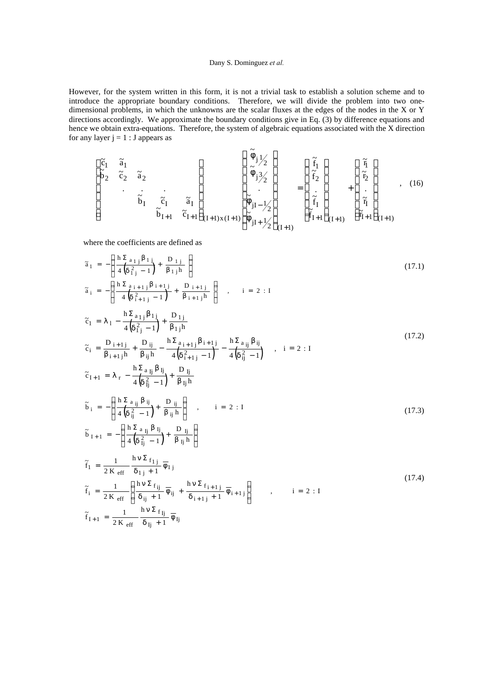However, for the system written in this form, it is not a trivial task to establish a solution scheme and to introduce the appropriate boundary conditions. Therefore, we will divide the problem into two onedimensional problems, in which the unknowns are the scalar fluxes at the edges of the nodes in the X or Y directions accordingly. We approximate the boundary conditions give in Eq. (3) by difference equations and hence we obtain extra-equations. Therefore, the system of algebraic equations associated with the X direction for any layer  $j = 1 : J$  appears as

$$
\begin{bmatrix}\n\tilde{c}_1 & \tilde{a}_1 \\
\tilde{b}_2 & \tilde{c}_2 & \tilde{a}_2 \\
 & \vdots & \ddots & \vdots \\
 & \tilde{b}_I & \tilde{c}_I & \tilde{a}_I \\
 & & \tilde{b}_{I+1} & \tilde{c}_{I+1}\n\end{bmatrix}_{(I+1)x(I+1)}\n\begin{bmatrix}\n\tilde{\phi}_{j1}/2 \\
\tilde{\phi}_{j3}/2 \\
 & \vdots \\
\tilde{\phi}_{jI} & \vdots \\
\tilde{\phi}_{jI} & \vdots \\
\tilde{\phi}_{jI} & \vdots \\
\tilde{\phi}_{jI} & \vdots \\
\tilde{\phi}_{jI+1}/2\n\end{bmatrix}_{(I+1)}\n\begin{bmatrix}\n\tilde{f}_1 \\
\tilde{f}_2 \\
 & \vdots \\
\tilde{f}_I \\
\tilde{f}_I \\
\tilde{f}_{I+1}\n\end{bmatrix}_{(I+1)}\n\begin{bmatrix}\n\tilde{\eta} \\
\tilde{\eta} \\
 & \vdots \\
\tilde{\eta} \\
\tilde{\eta} \\
\tilde{\eta} \\
\tilde{\eta} \\
\tilde{\eta} \\
\tilde{\eta} \\
\tilde{\eta} \\
\tilde{\eta} \\
\tilde{\eta} \\
\tilde{\eta} \\
\tilde{\eta} \\
\tilde{\eta} \\
\tilde{\eta} \\
\tilde{\eta} \\
\tilde{\eta} \\
\tilde{\eta} \\
\tilde{\eta} \\
\tilde{\eta} \\
\tilde{\eta} \\
\tilde{\eta} \\
\tilde{\eta} \\
\tilde{\eta} \\
\tilde{\eta} \\
\tilde{\eta} \\
\tilde{\eta} \\
\tilde{\eta} \\
\tilde{\eta} \\
\tilde{\eta} \\
\tilde{\eta} \\
\tilde{\eta} \\
\tilde{\eta} \\
\tilde{\eta} \\
\tilde{\eta} \\
\tilde{\eta} \\
\tilde{\eta} \\
\tilde{\eta} \\
\tilde{\eta} \\
\tilde{\eta} \\
\tilde{\eta} \\
\tilde{\eta} \\
\tilde{\eta} \\
\tilde{\eta} \\
\tilde{\eta} \\
\tilde{\eta} \\
\tilde{\eta} \\
\tilde{\eta} \\
\tilde{\eta} \\
\tilde{\eta} \\
\tilde{\eta} \\
\tilde{\eta} \\
\tilde{\eta} \\
\tilde{\eta} \\
\tilde{\eta} \\
\tilde{\eta} \\
\tilde{\eta} \\
\
$$

where the coefficients are defined as

$$
\tilde{a}_{1} = -\left(\frac{h \sum a_{1j} \beta_{1j}}{4\left(\delta_{1j}^{2} - 1\right)} + \frac{D_{1j}}{\beta_{1j}h}\right)
$$
\n
$$
\tilde{a}_{i} = -\left(\frac{h \sum a_{i+1j} \beta_{i+1j}}{4\left(\delta_{i+1j}^{2} - 1\right)} + \frac{D_{i+1j}}{\beta_{i+1j}h}\right), \quad i = 2 : I
$$
\n(17.1)

$$
\tilde{c}_{1} = \lambda_{1} - \frac{h \Sigma_{a_{1j}} \beta_{1j}}{4 (\delta_{1j}^{2} - 1)} + \frac{D_{1j}}{\beta_{1j}h} \n\tilde{c}_{i} = \frac{D_{i+1j}}{\beta_{i+1j}h} + \frac{D_{ij}}{\beta_{ij}h} - \frac{h \Sigma_{a_{i+1j}} \beta_{i+1j}}{4 (\delta_{i+1j}^{2} - 1)} - \frac{h \Sigma_{a_{ij}} \beta_{ij}}{4 (\delta_{ij}^{2} - 1)} , \quad i = 2 : I \n\tilde{c}_{I+1} = \lambda_{r} - \frac{h \Sigma_{a_{ij}} \beta_{ij}}{4 (\delta_{ij}^{2} - 1)} + \frac{D_{ij}}{\beta_{ij}h}
$$
\n(17.2)

$$
\tilde{b}_{i} = -\left(\frac{h \Sigma_{a_{ij}} \beta_{ij}}{4\left(\delta_{ij}^{2} - 1\right)} + \frac{D_{ij}}{\beta_{ij} h}\right), \qquad i = 2 : I
$$
\n
$$
\tilde{b}_{I+1} = -\left(\frac{h \Sigma_{a_{ij}} \beta_{ij}}{4\left(\delta_{ij}^{2} - 1\right)} + \frac{D_{ij}}{\beta_{ij} h}\right)
$$
\n(17.3)

$$
\tilde{f}_1 = \frac{1}{2K_{\text{eff}}} \frac{h \nu \Sigma_{f_{1j}}}{\delta_{1j} + 1} \overline{\phi}_{1j}
$$
\n
$$
\tilde{f}_i = \frac{1}{2K_{\text{eff}}} \left( \frac{h \nu \Sigma_{f_{ij}}}{\delta_{ij} + 1} \overline{\phi}_{ij} + \frac{h \nu \Sigma_{f_{i+1j}}}{\delta_{i+1j} + 1} \overline{\phi}_{i+1j} \right) , \qquad i = 2 : I
$$
\n
$$
\tilde{f}_{I+1} = \frac{1}{2K_{\text{eff}}} \frac{h \nu \Sigma_{f_{ij}}}{\delta_{ij} + 1} \overline{\phi}_{Ij}
$$
\n(17.4)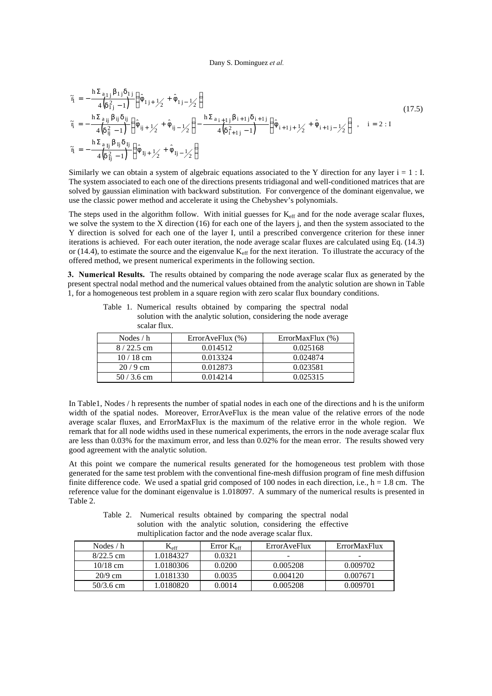$$
\begin{split}\n\tilde{\eta} &= -\frac{\hbar \Sigma_{a_{1j}} \beta_{1j} \delta_{1j}}{4 \left(\delta_{1j}^2 - 1\right)} \left(\hat{\phi}_{1j+1/2} + \hat{\phi}_{1j-1/2}\right) \\
\tilde{\eta} &= -\frac{\hbar \Sigma_{a_{ij}} \beta_{ij} \delta_{ij}}{4 \left(\delta_{ij}^2 - 1\right)} \left(\hat{\phi}_{ij+1/2} + \hat{\phi}_{ij-1/2}\right) - \frac{\hbar \Sigma_{a_{i+1j}} \beta_{i+1j} \delta_{i+1j}}{4 \left(\delta_{i+1j}^2 - 1\right)} \left(\hat{\phi}_{i+1j+1/2} + \hat{\phi}_{i+1j-1/2}\right) ,\n\end{split}
$$
\n
$$
\tilde{\eta} = -\frac{\hbar \Sigma_{a_{ij}} \beta_{ij} \delta_{ij}}{4 \left(\delta_{ij}^2 - 1\right)} \left(\hat{\phi}_{1j+1/2} + \hat{\phi}_{1j-1/2}\right)
$$
\n(17.5)

Similarly we can obtain a system of algebraic equations associated to the Y direction for any layer  $i = 1 : I$ . The system associated to each one of the directions presents tridiagonal and well-conditioned matrices that are solved by gaussian elimination with backward substitution. For convergence of the dominant eigenvalue, we use the classic power method and accelerate it using the Chebyshev's polynomials.

The steps used in the algorithm follow. With initial guesses for K<sub>eff</sub> and for the node average scalar fluxes, we solve the system to the X direction (16) for each one of the layers j, and then the system associated to the Y direction is solved for each one of the layer I, until a prescribed convergence criterion for these inner iterations is achieved. For each outer iteration, the node average scalar fluxes are calculated using Eq. (14.3) or (14.4), to estimate the source and the eigenvalue  $K_{\text{eff}}$  for the next iteration. To illustrate the accuracy of the offered method, we present numerical experiments in the following section.

**3. Numerical Results.** The results obtained by comparing the node average scalar flux as generated by the present spectral nodal method and the numerical values obtained from the analytic solution are shown in Table 1, for a homogeneous test problem in a square region with zero scalar flux boundary conditions.

| 100         |                    |                      |
|-------------|--------------------|----------------------|
| Nodes $/h$  | Error $AveFlux(%)$ | ErrorMaxFlux $(\% )$ |
| $8/22.5$ cm | 0.014512           | 0.025168             |
| $10/18$ cm  | 0.013324           | 0.024874             |
| $20/9$ cm   | 0.012873           | 0.023581             |
| $50/3.6$ cm | 0.014214           | 0.025315             |

Table 1. Numerical results obtained by comparing the spectral nodal solution with the analytic solution, considering the node average scalar flux.

In Table1, Nodes / h represents the number of spatial nodes in each one of the directions and h is the uniform width of the spatial nodes. Moreover, ErrorAveFlux is the mean value of the relative errors of the node average scalar fluxes, and ErrorMaxFlux is the maximum of the relative error in the whole region. We remark that for all node widths used in these numerical experiments, the errors in the node average scalar flux are less than 0.03% for the maximum error, and less than 0.02% for the mean error. The results showed very good agreement with the analytic solution.

At this point we compare the numerical results generated for the homogeneous test problem with those generated for the same test problem with the conventional fine-mesh diffusion program of fine mesh diffusion finite difference code. We used a spatial grid composed of 100 nodes in each direction, i.e.,  $h = 1.8$  cm. The reference value for the dominant eigenvalue is 1.018097. A summary of the numerical results is presented in Table 2.

Table 2. Numerical results obtained by comparing the spectral nodal solution with the analytic solution, considering the effective multiplication factor and the node average scalar flux.

| Nodes $/h$  | $\rm K_{\rm eff}$ | Error $K_{\rm eff}$ | ErrorAveFlux | ErrorMaxFlux |
|-------------|-------------------|---------------------|--------------|--------------|
| $8/22.5$ cm | 1.0184327         | 0.0321              |              | -            |
| $10/18$ cm  | 1.0180306         | 0.0200              | 0.005208     | 0.009702     |
| $20/9$ cm   | 1.0181330         | 0.0035              | 0.004120     | 0.007671     |
| $50/3.6$ cm | 1.0180820         | 0.0014              | 0.005208     | 0.009701     |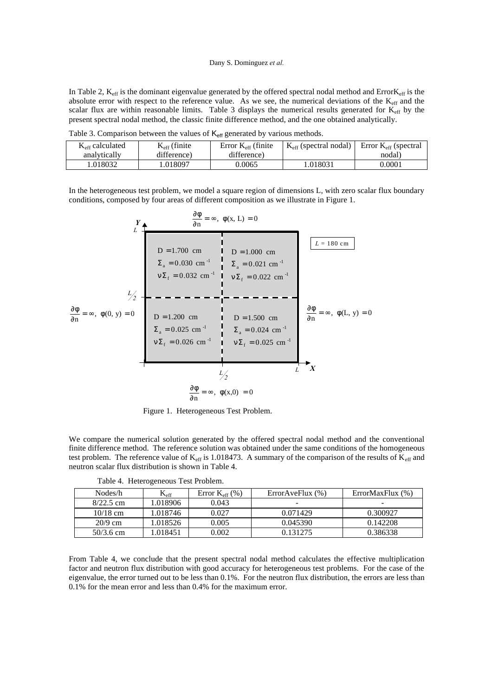In Table 2,  $K_{eff}$  is the dominant eigenvalue generated by the offered spectral nodal method and Error $K_{eff}$  is the absolute error with respect to the reference value. As we see, the numerical deviations of the  $K_{\text{eff}}$  and the scalar flux are within reasonable limits. Table 3 displays the numerical results generated for K<sub>eff</sub> by the present spectral nodal method, the classic finite difference method, and the one obtained analytically.

|                          |                       | .                           |                                   |                               |
|--------------------------|-----------------------|-----------------------------|-----------------------------------|-------------------------------|
| $K_{\rm eff}$ calculated | $K_{\rm eff}$ (finite | Error $K_{\rm eff}$ (finite | $K_{\text{eff}}$ (spectral nodal) | Error $K_{\rm eff}$ (spectral |
| analytically             | difference)           | difference)                 |                                   | nodal)                        |
| .018032                  | .018097               | 0.0065                      | 1.018031                          | 0.0001                        |

Table 3. Comparison between the values of  $K_{\text{eff}}$  generated by various methods.

 $\overline{Q}$ 

In the heterogeneous test problem, we model a square region of dimensions L, with zero scalar flux boundary conditions, composed by four areas of different composition as we illustrate in Figure 1.

$$
\frac{d\phi}{d\theta} = \infty, \ \phi(0, y) = 0
$$
\n
$$
\frac{d\phi}{d\theta} = \infty, \ \phi(x, L) = 0
$$
\n
$$
D = 1.700 \text{ cm}
$$
\n
$$
\Sigma_{a} = 0.030 \text{ cm}^{-1}
$$
\n
$$
\frac{d\phi}{d\theta} = \infty, \ \phi(0, y) = 0
$$
\n
$$
D = 1.200 \text{ cm}
$$
\n
$$
D = 1.200 \text{ cm}
$$
\n
$$
D = 1.500 \text{ cm}
$$
\n
$$
D = 1.500 \text{ cm}
$$
\n
$$
D = 1.500 \text{ cm}
$$
\n
$$
D = 1.500 \text{ cm}
$$
\n
$$
\Sigma_{a} = 0.025 \text{ cm}^{-1}
$$
\n
$$
\frac{d\phi}{d\theta} = \infty, \ \phi(L, y) = 0
$$
\n
$$
\frac{d\phi}{d\theta} = \infty, \ \phi(L, y) = 0
$$
\n
$$
\frac{d\phi}{d\theta} = \infty, \ \phi(x, 0) = 0
$$

Figure 1. Heterogeneous Test Problem.

We compare the numerical solution generated by the offered spectral nodal method and the conventional finite difference method. The reference solution was obtained under the same conditions of the homogeneous test problem. The reference value of  $K_{\text{eff}}$  is 1.018473. A summary of the comparison of the results of  $K_{\text{eff}}$  and neutron scalar flux distribution is shown in Table 4.

| Nodes/h     | $\rm K_{eff}$ | Error $K_{eff}$ (%) | ErrorAveFlux $(\% )$ | ErrorMaxFlux(%) |
|-------------|---------------|---------------------|----------------------|-----------------|
| $8/22.5$ cm | 1.018906      | 0.043               |                      |                 |
| $10/18$ cm  | 1.018746      | 0.027               | 0.071429             | 0.300927        |
| $20/9$ cm   | 1.018526      | 0.005               | 0.045390             | 0.142208        |
| $50/3.6$ cm | 1.018451      | 0.002               | 0.131275             | 0.386338        |

Table 4. Heterogeneous Test Problem.

From Table 4, we conclude that the present spectral nodal method calculates the effective multiplication factor and neutron flux distribution with good accuracy for heterogeneous test problems. For the case of the eigenvalue, the error turned out to be less than 0.1%. For the neutron flux distribution, the errors are less than 0.1% for the mean error and less than 0.4% for the maximum error.